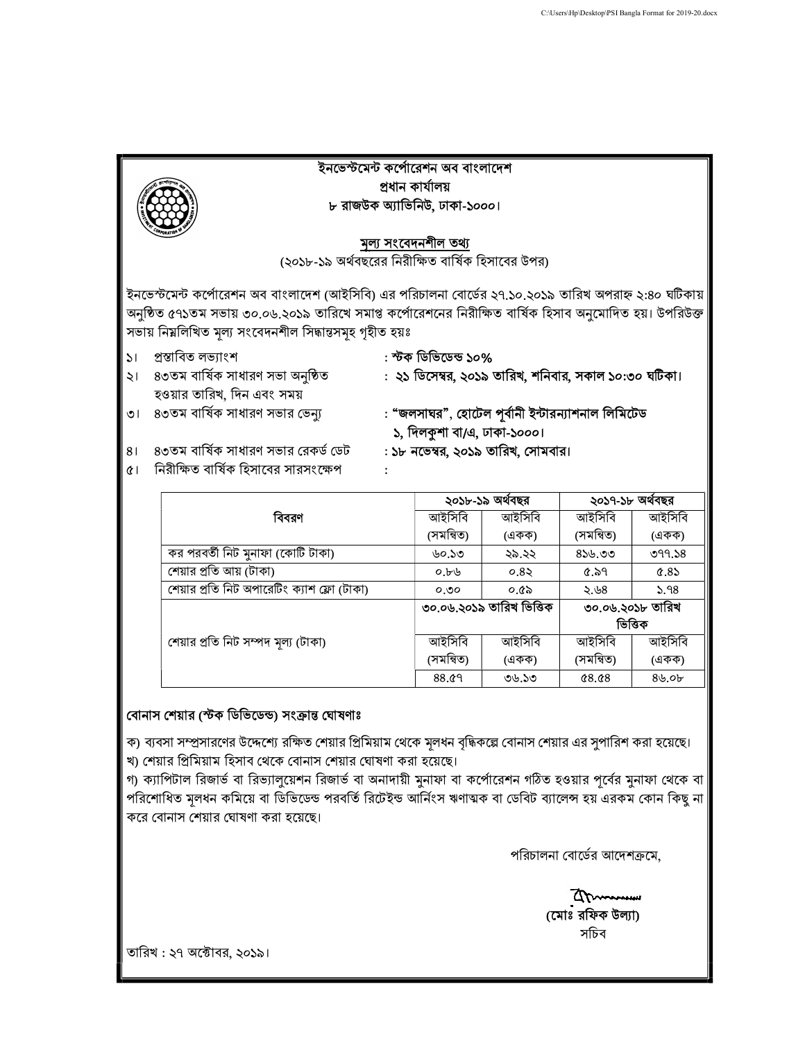

|                                             | ২০১৮-১৯ অর্থবছর          |        | ২০১৭-১৮ অর্থবছর  |        |
|---------------------------------------------|--------------------------|--------|------------------|--------|
| বিবরণ                                       | আইসিবি                   | আইসিবি | আইসিবি           | আইসিবি |
|                                             | (সমন্বিত)                | (একক)  | (সমন্বিত)        | (একক)  |
| কর পরবর্তী নিট মুনাফা (কোটি টাকা)           | ৬০.১৩                    | ২৯.২২  | $8$ ১৬.৩৩        | 099.58 |
| শেয়ার প্রতি আয় (টাকা)                     | 0.56                     | 0.85   | 6.59             | 0.85   |
| শেয়ার প্রতি নিট অপারেটিং ক্যাশ ফ্লো (টাকা) | 0.00                     | ০.৫৯   | ২.৬৪             | 5.98   |
|                                             | ৩০.০৬.২০১৯ তারিখ ভিত্তিক |        | ৩০.০৬.২০১৮ তারিখ |        |
|                                             |                          |        | ভিত্তিক          |        |
| শেয়ার প্রতি নিট সম্পদ মূল্য (টাকা)         | আইসিবি                   | আইসিবি | আইসিবি           | আইসিবি |
|                                             | (সমন্বিত)                | (একক)  | (সমন্বিত)        | (একক)  |
|                                             | 88.09                    | ৩৬.১৩  | 0.68             | 8b.0b  |

## বোনাস শেয়ার (স্টক ডিভিডেন্ড) সংক্রান্ত ঘোষণাঃ

ক) ব্যবসা সম্প্রসারণের উদ্দেশ্যে রক্ষিত শেয়ার প্রিমিয়াম থেকে মূলধন বৃদ্ধিকল্লে বোনাস শেয়ার এর সুপারিশ করা হয়েছে। খ) শেয়ার প্রিমিয়াম হিসাব থেকে বোনাস শেয়ার ঘোষণা করা হয়েছে।

গ) ক্যাপিটাল রিজার্ভ বা রিভ্যালুয়েশন রিজার্ভ বা অনাদায়ী মুনাফা বা কর্পোরেশন গঠিত হওয়ার পূর্বের মুনাফা থেকে বা পরিশোধিত মূলধন কমিয়ে বা ডিভিডেন্ড পরবর্তি রিটেইন্ড আর্নিংস ঋণাঅক বা ডেবিট ব্যালেন্স হয় এরকম কোন কিছু না করে বোনাস শেয়ার ঘোষণা করা হয়েছে।

পরিচালনা বোর্ডের আদেশক্রমে,

(মোঃ রফিক উল্যা) সিচব

তারিখ : ২৭ অক্টোবর, ২০১৯।